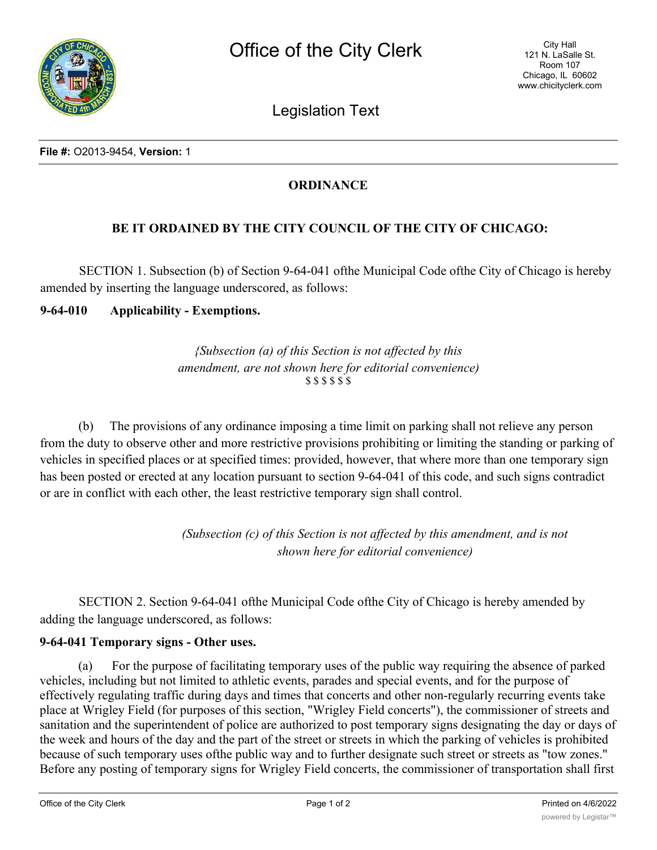Legislation Text

## **ORDINANCE**

## **BE IT ORDAINED BY THE CITY COUNCIL OF THE CITY OF CHICAGO:**

SECTION 1. Subsection (b) of Section 9-64-041 ofthe Municipal Code ofthe City of Chicago is hereby amended by inserting the language underscored, as follows:

**9-64-010 Applicability - Exemptions.**

*{Subsection (a) of this Section is not affected by this amendment, are not shown here for editorial convenience)* \$ \$ \$ \$ \$ \$

(b) The provisions of any ordinance imposing a time limit on parking shall not relieve any person from the duty to observe other and more restrictive provisions prohibiting or limiting the standing or parking of vehicles in specified places or at specified times: provided, however, that where more than one temporary sign has been posted or erected at any location pursuant to section 9-64-041 of this code, and such signs contradict or are in conflict with each other, the least restrictive temporary sign shall control.

> *(Subsection (c) of this Section is not affected by this amendment, and is not shown here for editorial convenience)*

SECTION 2. Section 9-64-041 ofthe Municipal Code ofthe City of Chicago is hereby amended by adding the language underscored, as follows:

## **9-64-041 Temporary signs - Other uses.**

(a) For the purpose of facilitating temporary uses of the public way requiring the absence of parked vehicles, including but not limited to athletic events, parades and special events, and for the purpose of effectively regulating traffic during days and times that concerts and other non-regularly recurring events take place at Wrigley Field (for purposes of this section, "Wrigley Field concerts"), the commissioner of streets and sanitation and the superintendent of police are authorized to post temporary signs designating the day or days of the week and hours of the day and the part of the street or streets in which the parking of vehicles is prohibited because of such temporary uses ofthe public way and to further designate such street or streets as "tow zones." Before any posting of temporary signs for Wrigley Field concerts, the commissioner of transportation shall first